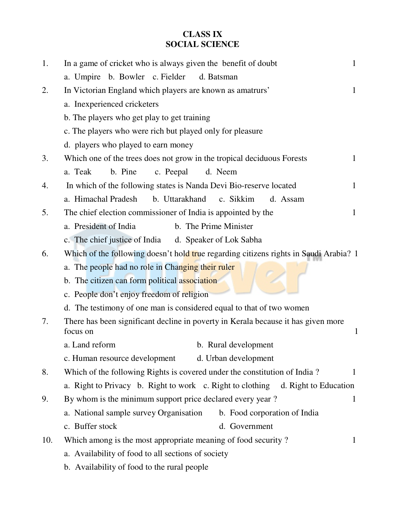## **CLASS IX SOCIAL SCIENCE**

| 1.  | In a game of cricket who is always given the benefit of doubt                                 | 1            |
|-----|-----------------------------------------------------------------------------------------------|--------------|
|     | a. Umpire b. Bowler c. Fielder<br>d. Batsman                                                  |              |
| 2.  | In Victorian England which players are known as amatrurs'                                     | $\mathbf{1}$ |
|     | a. Inexperienced cricketers                                                                   |              |
|     | b. The players who get play to get training                                                   |              |
|     | c. The players who were rich but played only for pleasure                                     |              |
|     | d. players who played to earn money                                                           |              |
| 3.  | Which one of the trees does not grow in the tropical deciduous Forests                        | $\mathbf{1}$ |
|     | b. Pine<br>c. Peepal<br>d. Neem<br>a. Teak                                                    |              |
| 4.  | In which of the following states is Nanda Devi Bio-reserve located                            | $\mathbf{1}$ |
|     | a. Himachal Pradesh<br>b. Uttarakhand c. Sikkim<br>d. Assam                                   |              |
| 5.  | The chief election commissioner of India is appointed by the                                  | $\mathbf{1}$ |
|     | a. President of India<br>b. The Prime Minister                                                |              |
|     | c. The chief justice of India d. Speaker of Lok Sabha                                         |              |
| 6.  | Which of the following doesn't hold true regarding citizens rights in Saudi Arabia? 1         |              |
|     | a. The people had no role in Changing their ruler                                             |              |
|     | b. The citizen can form political association                                                 |              |
|     | c. People don't enjoy freedom of religion                                                     |              |
|     | d. The testimony of one man is considered equal to that of two women                          |              |
| 7.  | There has been significant decline in poverty in Kerala because it has given more<br>focus on | $\mathbf{1}$ |
|     | b. Rural development<br>a. Land reform                                                        |              |
|     | c. Human resource development<br>d. Urban development                                         |              |
| 8.  | Which of the following Rights is covered under the constitution of India?                     | $\mathbf{1}$ |
|     | a. Right to Privacy b. Right to work c. Right to clothing d. Right to Education               |              |
| 9.  | By whom is the minimum support price declared every year?                                     | $\mathbf{1}$ |
|     | a. National sample survey Organisation b. Food corporation of India                           |              |
|     | c. Buffer stock<br>d. Government                                                              |              |
| 10. | Which among is the most appropriate meaning of food security?                                 | $\mathbf{1}$ |
|     | a. Availability of food to all sections of society                                            |              |
|     | b. Availability of food to the rural people                                                   |              |